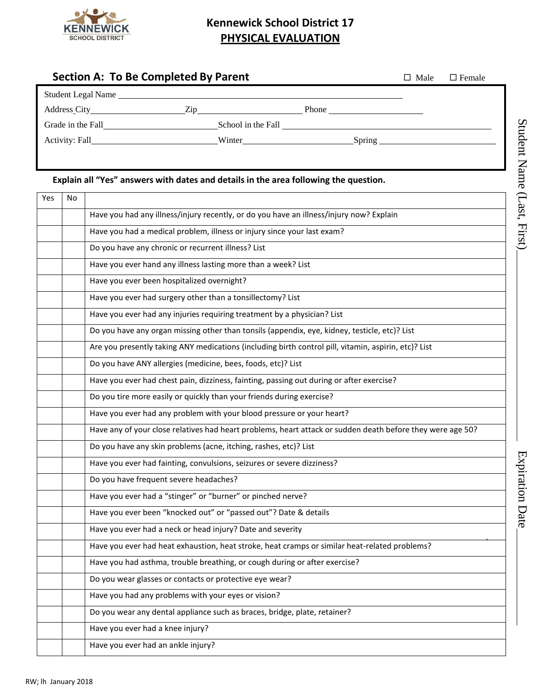

## **Kennewick School District 17 PHYSICAL EVALUATION**

|     |                                                                                                      | <b>Section A: To Be Completed By Parent</b>                                                                | $\Box$ Male | $\square$ Female |  |  |  |  |  |  |
|-----|------------------------------------------------------------------------------------------------------|------------------------------------------------------------------------------------------------------------|-------------|------------------|--|--|--|--|--|--|
|     |                                                                                                      | Student Legal Name                                                                                         |             |                  |  |  |  |  |  |  |
|     |                                                                                                      |                                                                                                            |             |                  |  |  |  |  |  |  |
|     |                                                                                                      |                                                                                                            |             |                  |  |  |  |  |  |  |
|     |                                                                                                      |                                                                                                            |             |                  |  |  |  |  |  |  |
|     |                                                                                                      |                                                                                                            |             |                  |  |  |  |  |  |  |
|     | Explain all "Yes" answers with dates and details in the area following the question.                 |                                                                                                            |             |                  |  |  |  |  |  |  |
| Yes | No                                                                                                   |                                                                                                            |             |                  |  |  |  |  |  |  |
|     |                                                                                                      | Have you had any illness/injury recently, or do you have an illness/injury now? Explain                    |             |                  |  |  |  |  |  |  |
|     |                                                                                                      | Have you had a medical problem, illness or injury since your last exam?                                    |             |                  |  |  |  |  |  |  |
|     |                                                                                                      | Do you have any chronic or recurrent illness? List                                                         |             |                  |  |  |  |  |  |  |
|     | Have you ever hand any illness lasting more than a week? List                                        |                                                                                                            |             |                  |  |  |  |  |  |  |
|     | Have you ever been hospitalized overnight?                                                           |                                                                                                            |             |                  |  |  |  |  |  |  |
|     | Have you ever had surgery other than a tonsillectomy? List                                           |                                                                                                            |             |                  |  |  |  |  |  |  |
|     | Have you ever had any injuries requiring treatment by a physician? List                              |                                                                                                            |             |                  |  |  |  |  |  |  |
|     | Do you have any organ missing other than tonsils (appendix, eye, kidney, testicle, etc)? List        |                                                                                                            |             |                  |  |  |  |  |  |  |
|     | Are you presently taking ANY medications (including birth control pill, vitamin, aspirin, etc)? List |                                                                                                            |             |                  |  |  |  |  |  |  |
|     |                                                                                                      | Do you have ANY allergies (medicine, bees, foods, etc)? List                                               |             |                  |  |  |  |  |  |  |
|     |                                                                                                      | Have you ever had chest pain, dizziness, fainting, passing out during or after exercise?                   |             |                  |  |  |  |  |  |  |
|     |                                                                                                      | Do you tire more easily or quickly than your friends during exercise?                                      |             |                  |  |  |  |  |  |  |
|     |                                                                                                      | Have you ever had any problem with your blood pressure or your heart?                                      |             |                  |  |  |  |  |  |  |
|     |                                                                                                      | Have any of your close relatives had heart problems, heart attack or sudden death before they were age 50? |             |                  |  |  |  |  |  |  |
|     |                                                                                                      | Do you have any skin problems (acne, itching, rashes, etc)? List                                           |             |                  |  |  |  |  |  |  |
|     |                                                                                                      | Have you ever had fainting, convulsions, seizures or severe dizziness?                                     |             |                  |  |  |  |  |  |  |
|     |                                                                                                      | Do you have frequent severe headaches?                                                                     |             |                  |  |  |  |  |  |  |
|     |                                                                                                      | Have you ever had a "stinger" or "burner" or pinched nerve?                                                |             |                  |  |  |  |  |  |  |
|     |                                                                                                      | Have you ever been "knocked out" or "passed out"? Date & details                                           |             |                  |  |  |  |  |  |  |
|     |                                                                                                      | Have you ever had a neck or head injury? Date and severity                                                 |             |                  |  |  |  |  |  |  |
|     |                                                                                                      | Have you ever had heat exhaustion, heat stroke, heat cramps or similar heat-related problems?              |             |                  |  |  |  |  |  |  |
|     |                                                                                                      | Have you had asthma, trouble breathing, or cough during or after exercise?                                 |             |                  |  |  |  |  |  |  |
|     |                                                                                                      | Do you wear glasses or contacts or protective eye wear?                                                    |             |                  |  |  |  |  |  |  |
|     |                                                                                                      | Have you had any problems with your eyes or vision?                                                        |             |                  |  |  |  |  |  |  |
|     |                                                                                                      | Do you wear any dental appliance such as braces, bridge, plate, retainer?                                  |             |                  |  |  |  |  |  |  |
|     |                                                                                                      | Have you ever had a knee injury?                                                                           |             |                  |  |  |  |  |  |  |
|     |                                                                                                      | Have you ever had an ankle injury?                                                                         |             |                  |  |  |  |  |  |  |